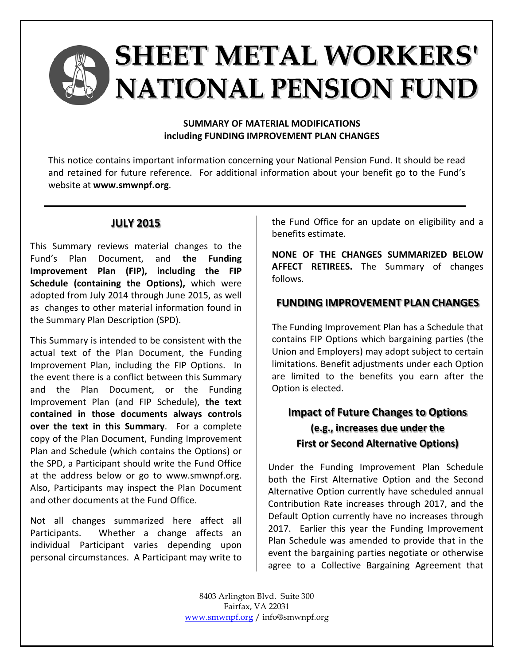# **SHEET METAL WORKERS' NATIONAL PENSION FUND**

#### **SUMMARY OF MATERIAL MODIFICATIONS including FUNDING IMPROVEMENT PLAN CHANGES**

This notice contains important information concerning your National Pension Fund. It should be read and retained for future reference. For additional information about your benefit go to the Fund's website at **www.smwnpf.org**.

## **JULY 2015**

This Summary reviews material changes to the Fund's Plan Document, and **the Funding Improvement Plan (FIP), including the FIP Schedule (containing the Options),** which were adopted from July 2014 through June 2015, as well as changes to other material information found in the Summary Plan Description (SPD).

This Summary is intended to be consistent with the actual text of the Plan Document, the Funding Improvement Plan, including the FIP Options. In the event there is a conflict between this Summary and the Plan Document, or the Funding Improvement Plan (and FIP Schedule), **the text contained in those documents always controls over the text in this Summary**. For a complete copy of the Plan Document, Funding Improvement Plan and Schedule (which contains the Options) or the SPD, a Participant should write the Fund Office at the address below or go to www.smwnpf.org. Also, Participants may inspect the Plan Document and other documents at the Fund Office.

Not all changes summarized here affect all Participants. Whether a change affects an individual Participant varies depending upon personal circumstances. A Participant may write to the Fund Office for an update on eligibility and a benefits estimate.

**NONE OF THE CHANGES SUMMARIZED BELOW AFFECT RETIREES.** The Summary of changes follows.

## **FUNDING IMPROVEMENT PLAN CHANGES**

The Funding Improvement Plan has a Schedule that contains FIP Options which bargaining parties (the Union and Employers) may adopt subject to certain limitations. Benefit adjustments under each Option are limited to the benefits you earn after the Option is elected.

## **Impact of Future Changes to Options (e.g., increases due under the First or Second Alternative Options)**

Under the Funding Improvement Plan Schedule both the First Alternative Option and the Second Alternative Option currently have scheduled annual Contribution Rate increases through 2017, and the Default Option currently have no increases through 2017. Earlier this year the Funding Improvement Plan Schedule was amended to provide that in the event the bargaining parties negotiate or otherwise agree to a Collective Bargaining Agreement that

8403 Arlington Blvd. Suite 300 Fairfax, VA 22031 [www.smwnpf.org](http://www.smwnpf.org/) / info@smwnpf.org